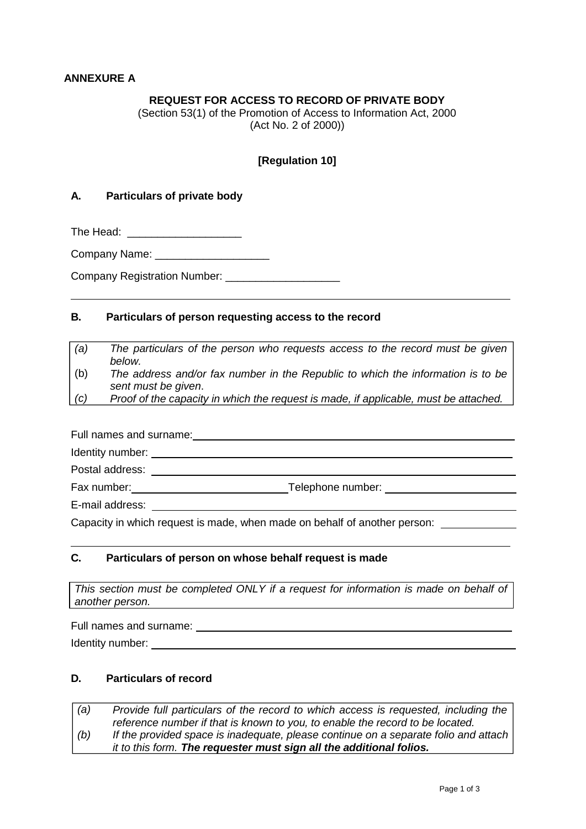# **ANNEXURE A**

# **REQUEST FOR ACCESS TO RECORD OF PRIVATE BODY**

(Section 53(1) of the Promotion of Access to Information Act, 2000 (Act No. 2 of 2000))

### **[Regulation 10]**

#### **A. Particulars of private body**

The Head: **We have a set of the Head:** 

Company Name:  $\Box$ 

Company Registration Number:

#### **B. Particulars of person requesting access to the record**

*(a) The particulars of the person who requests access to the record must be given below.*

(b) *The address and/or fax number in the Republic to which the information is to be sent must be given*.

*(c) Proof of the capacity in which the request is made, if applicable, must be attached.*

Full names and surname: **contained a manufacture of the set of the set of the set of the set of the set of the set of the set of the set of the set of the set of the set of the set of the set of the set of the set of the s** Identity number: Postal address: Fax number: Telephone number:

E-mail address:

Capacity in which request is made, when made on behalf of another person:

# **C. Particulars of person on whose behalf request is made**

*This section must be completed ONLY if a request for information is made on behalf of another person.*

Full names and surname:

Identity number:  $\blacksquare$ 

### **D. Particulars of record**

*(a) (b) Provide full particulars of the record to which access is requested, including the reference number if that is known to you, to enable the record to be located. If the provided space is inadequate, please continue on a separate folio and attach it to this form. The requester must sign all the additional folios.*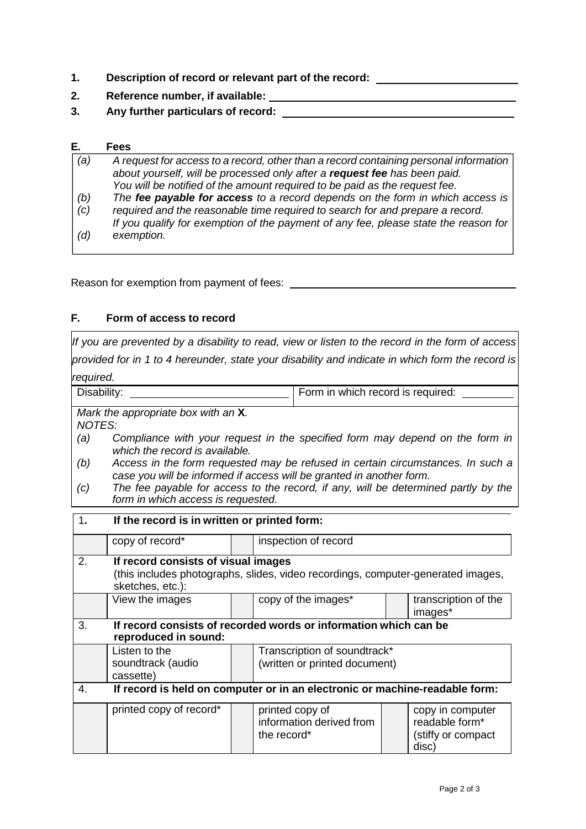- **1. Description of record or relevant part of the record:**
- **2. Reference number, if available:**
- **3. Any further particulars of record:**

#### **E. Fees**

| (a) | A request for access to a record, other than a record containing personal information |
|-----|---------------------------------------------------------------------------------------|
|     | about yourself, will be processed only after a request fee has been paid.             |
|     | You will be notified of the amount required to be paid as the request fee.            |
| (b) | The fee payable for access to a record depends on the form in which access is         |
| (c) | required and the reasonable time required to search for and prepare a record.         |
|     | If you qualify for exemption of the payment of any fee, please state the reason for   |
| (d) | exemption.                                                                            |
|     |                                                                                       |

Reason for exemption from payment of fees:

# **F. Form of access to record**

*If you are prevented by a disability to read, view or listen to the record in the form of access provided for in 1 to 4 hereunder, state your disability and indicate in which form the record is required.*

| Disability: | Form in which record is required: |
|-------------|-----------------------------------|
| _____       |                                   |

*Mark the appropriate box with an* **X***. NOTES:*

- *(a) Compliance with your request in the specified form may depend on the form in which the record is available.*
- *(b) Access in the form requested may be refused in certain circumstances. In such a case you will be informed if access will be granted in another form.*
- *(c) The fee payable for access to the record, if any, will be determined partly by the form in which access is requested.*

| 1. | If the record is in written or printed form:                                                         |  |                                                            |  |                                                                   |  |
|----|------------------------------------------------------------------------------------------------------|--|------------------------------------------------------------|--|-------------------------------------------------------------------|--|
|    | copy of record*                                                                                      |  | inspection of record                                       |  |                                                                   |  |
| 2. | If record consists of visual images                                                                  |  |                                                            |  |                                                                   |  |
|    | (this includes photographs, slides, video recordings, computer-generated images,<br>sketches, etc.): |  |                                                            |  |                                                                   |  |
|    | View the images                                                                                      |  | copy of the images*                                        |  | transcription of the<br>images*                                   |  |
| 3. | If record consists of recorded words or information which can be                                     |  |                                                            |  |                                                                   |  |
|    | reproduced in sound:                                                                                 |  |                                                            |  |                                                                   |  |
|    | Listen to the                                                                                        |  | Transcription of soundtrack*                               |  |                                                                   |  |
|    | soundtrack (audio                                                                                    |  | (written or printed document)                              |  |                                                                   |  |
|    | cassette)                                                                                            |  |                                                            |  |                                                                   |  |
| 4. | If record is held on computer or in an electronic or machine-readable form:                          |  |                                                            |  |                                                                   |  |
|    | printed copy of record*                                                                              |  | printed copy of<br>information derived from<br>the record* |  | copy in computer<br>readable form*<br>(stiffy or compact<br>disc) |  |